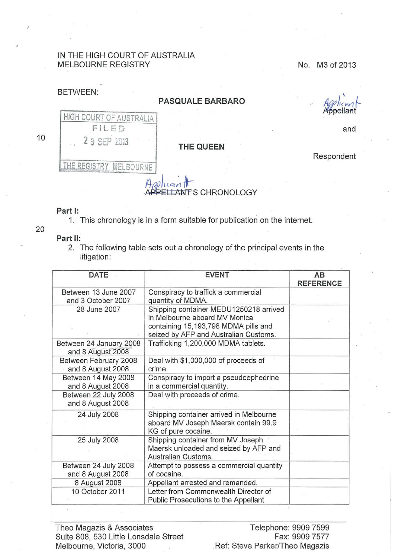## IN THE HIGH COURT OF AUSTRALIA MELBOURNE REGISTRY NO. N3 of 2013

## BETWEEN:

## **PASQUALE BARBARO**

ella

Respondent

and

10

20

,



## **Part 1:**

1. This chronology is in a form suitable for publication on the internet.

**Part** II:

2. The following table sets out a chronology of the principal events in the litigation:

| <b>DATE</b>                                  | <b>EVENT</b>                                                                                                                                             | AB<br><b>REFERENCE</b> |
|----------------------------------------------|----------------------------------------------------------------------------------------------------------------------------------------------------------|------------------------|
| Between 13 June 2007<br>and 3 October 2007   | Conspiracy to traffick a commercial<br>quantity of MDMA.                                                                                                 |                        |
| 28 June 2007                                 | Shipping container MEDU1250218 arrived<br>in Melbourne aboard MV Monica<br>containing 15,193,798 MDMA pills and<br>seized by AFP and Australian Customs. |                        |
| Between 24 January 2008<br>and 8 August 2008 | Trafficking 1,200,000 MDMA tablets.                                                                                                                      |                        |
| Between February 2008<br>and 8 August 2008   | Deal with \$1,000,000 of proceeds of<br>crime.                                                                                                           |                        |
| Between 14 May 2008<br>and 8 August 2008     | Conspiracy to import a pseudoephedrine<br>in a commercial quantity.                                                                                      |                        |
| Between 22 July 2008<br>and 8 August 2008    | Deal with proceeds of crime.                                                                                                                             |                        |
| 24 July 2008                                 | Shipping container arrived in Melbourne<br>aboard MV Joseph Maersk contain 99.9<br>KG of pure cocaine.                                                   |                        |
| 25 July 2008                                 | Shipping container from MV Joseph<br>Maersk unloaded and seized by AFP and<br>Australian Customs.                                                        |                        |
| Between 24 July 2008<br>and 8 August 2008    | Attempt to possess a commercial quantity<br>of cocaine.                                                                                                  |                        |
| 8 August 2008                                | Appellant arrested and remanded.                                                                                                                         |                        |
| 10 October 2011                              | Letter from Commonwealth Director of<br>Public Prosecutions to the Appellant                                                                             |                        |

Theo Magazis & Associates Telephone: 9909 7599 Suite 808, 530 Little Lonsdale Street Melbourne, Victoria, 3000